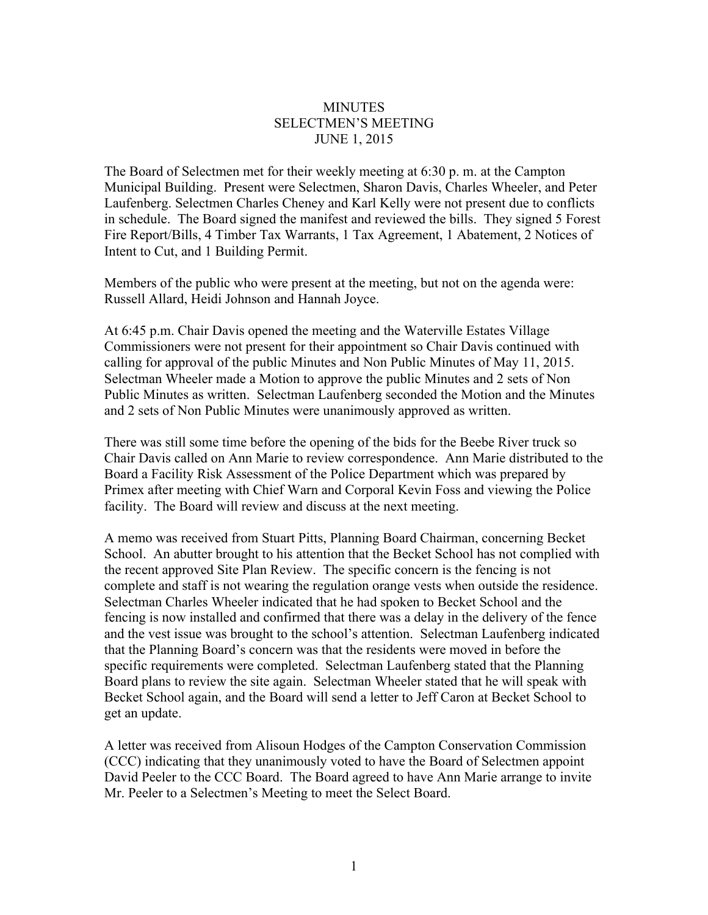## **MINUTES** SELECTMEN'S MEETING JUNE 1, 2015

The Board of Selectmen met for their weekly meeting at 6:30 p. m. at the Campton Municipal Building. Present were Selectmen, Sharon Davis, Charles Wheeler, and Peter Laufenberg. Selectmen Charles Cheney and Karl Kelly were not present due to conflicts in schedule. The Board signed the manifest and reviewed the bills. They signed 5 Forest Fire Report/Bills, 4 Timber Tax Warrants, 1 Tax Agreement, 1 Abatement, 2 Notices of Intent to Cut, and 1 Building Permit.

Members of the public who were present at the meeting, but not on the agenda were: Russell Allard, Heidi Johnson and Hannah Joyce.

At 6:45 p.m. Chair Davis opened the meeting and the Waterville Estates Village Commissioners were not present for their appointment so Chair Davis continued with calling for approval of the public Minutes and Non Public Minutes of May 11, 2015. Selectman Wheeler made a Motion to approve the public Minutes and 2 sets of Non Public Minutes as written. Selectman Laufenberg seconded the Motion and the Minutes and 2 sets of Non Public Minutes were unanimously approved as written.

There was still some time before the opening of the bids for the Beebe River truck so Chair Davis called on Ann Marie to review correspondence. Ann Marie distributed to the Board a Facility Risk Assessment of the Police Department which was prepared by Primex after meeting with Chief Warn and Corporal Kevin Foss and viewing the Police facility. The Board will review and discuss at the next meeting.

A memo was received from Stuart Pitts, Planning Board Chairman, concerning Becket School. An abutter brought to his attention that the Becket School has not complied with the recent approved Site Plan Review. The specific concern is the fencing is not complete and staff is not wearing the regulation orange vests when outside the residence. Selectman Charles Wheeler indicated that he had spoken to Becket School and the fencing is now installed and confirmed that there was a delay in the delivery of the fence and the vest issue was brought to the school's attention. Selectman Laufenberg indicated that the Planning Board's concern was that the residents were moved in before the specific requirements were completed. Selectman Laufenberg stated that the Planning Board plans to review the site again. Selectman Wheeler stated that he will speak with Becket School again, and the Board will send a letter to Jeff Caron at Becket School to get an update.

A letter was received from Alisoun Hodges of the Campton Conservation Commission (CCC) indicating that they unanimously voted to have the Board of Selectmen appoint David Peeler to the CCC Board. The Board agreed to have Ann Marie arrange to invite Mr. Peeler to a Selectmen's Meeting to meet the Select Board.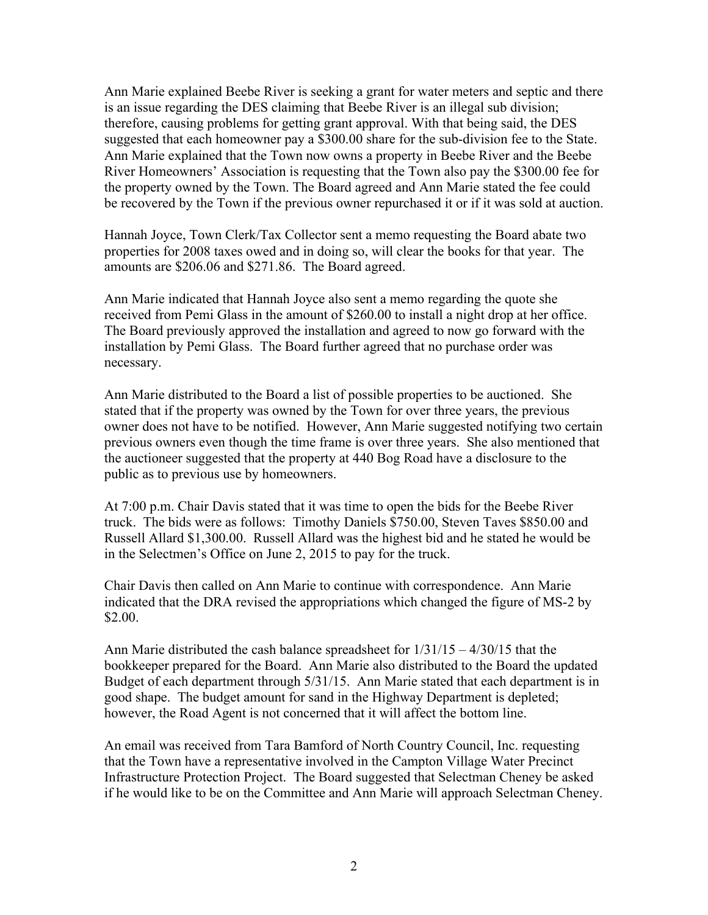Ann Marie explained Beebe River is seeking a grant for water meters and septic and there is an issue regarding the DES claiming that Beebe River is an illegal sub division; therefore, causing problems for getting grant approval. With that being said, the DES suggested that each homeowner pay a \$300.00 share for the sub-division fee to the State. Ann Marie explained that the Town now owns a property in Beebe River and the Beebe River Homeowners' Association is requesting that the Town also pay the \$300.00 fee for the property owned by the Town. The Board agreed and Ann Marie stated the fee could be recovered by the Town if the previous owner repurchased it or if it was sold at auction.

Hannah Joyce, Town Clerk/Tax Collector sent a memo requesting the Board abate two properties for 2008 taxes owed and in doing so, will clear the books for that year. The amounts are \$206.06 and \$271.86. The Board agreed.

Ann Marie indicated that Hannah Joyce also sent a memo regarding the quote she received from Pemi Glass in the amount of \$260.00 to install a night drop at her office. The Board previously approved the installation and agreed to now go forward with the installation by Pemi Glass. The Board further agreed that no purchase order was necessary.

Ann Marie distributed to the Board a list of possible properties to be auctioned. She stated that if the property was owned by the Town for over three years, the previous owner does not have to be notified. However, Ann Marie suggested notifying two certain previous owners even though the time frame is over three years. She also mentioned that the auctioneer suggested that the property at 440 Bog Road have a disclosure to the public as to previous use by homeowners.

At 7:00 p.m. Chair Davis stated that it was time to open the bids for the Beebe River truck. The bids were as follows: Timothy Daniels \$750.00, Steven Taves \$850.00 and Russell Allard \$1,300.00. Russell Allard was the highest bid and he stated he would be in the Selectmen's Office on June 2, 2015 to pay for the truck.

Chair Davis then called on Ann Marie to continue with correspondence. Ann Marie indicated that the DRA revised the appropriations which changed the figure of MS-2 by \$2.00.

Ann Marie distributed the cash balance spreadsheet for  $1/31/15 - 4/30/15$  that the bookkeeper prepared for the Board. Ann Marie also distributed to the Board the updated Budget of each department through 5/31/15. Ann Marie stated that each department is in good shape. The budget amount for sand in the Highway Department is depleted; however, the Road Agent is not concerned that it will affect the bottom line.

An email was received from Tara Bamford of North Country Council, Inc. requesting that the Town have a representative involved in the Campton Village Water Precinct Infrastructure Protection Project. The Board suggested that Selectman Cheney be asked if he would like to be on the Committee and Ann Marie will approach Selectman Cheney.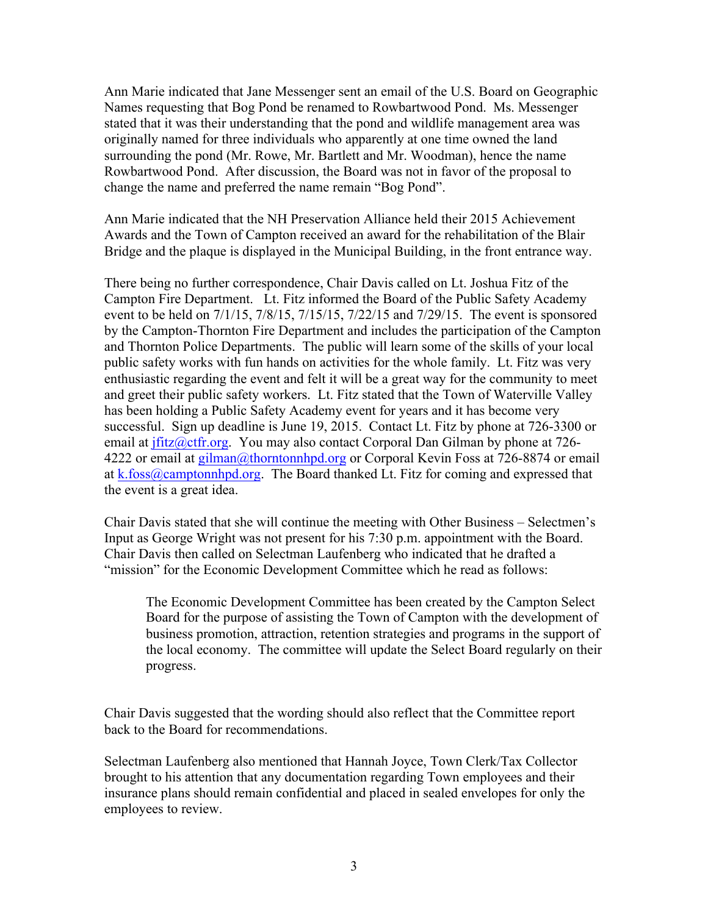Ann Marie indicated that Jane Messenger sent an email of the U.S. Board on Geographic Names requesting that Bog Pond be renamed to Rowbartwood Pond. Ms. Messenger stated that it was their understanding that the pond and wildlife management area was originally named for three individuals who apparently at one time owned the land surrounding the pond (Mr. Rowe, Mr. Bartlett and Mr. Woodman), hence the name Rowbartwood Pond. After discussion, the Board was not in favor of the proposal to change the name and preferred the name remain "Bog Pond".

Ann Marie indicated that the NH Preservation Alliance held their 2015 Achievement Awards and the Town of Campton received an award for the rehabilitation of the Blair Bridge and the plaque is displayed in the Municipal Building, in the front entrance way.

There being no further correspondence, Chair Davis called on Lt. Joshua Fitz of the Campton Fire Department. Lt. Fitz informed the Board of the Public Safety Academy event to be held on 7/1/15, 7/8/15, 7/15/15, 7/22/15 and 7/29/15. The event is sponsored by the Campton-Thornton Fire Department and includes the participation of the Campton and Thornton Police Departments. The public will learn some of the skills of your local public safety works with fun hands on activities for the whole family. Lt. Fitz was very enthusiastic regarding the event and felt it will be a great way for the community to meet and greet their public safety workers. Lt. Fitz stated that the Town of Waterville Valley has been holding a Public Safety Academy event for years and it has become very successful. Sign up deadline is June 19, 2015. Contact Lt. Fitz by phone at 726-3300 or email at jfitz@ctfr.org. You may also contact Corporal Dan Gilman by phone at 726-4222 or email at gilman@thorntonnhpd.org or Corporal Kevin Foss at 726-8874 or email at k.foss@camptonnhpd.org. The Board thanked Lt. Fitz for coming and expressed that the event is a great idea.

Chair Davis stated that she will continue the meeting with Other Business – Selectmen's Input as George Wright was not present for his 7:30 p.m. appointment with the Board. Chair Davis then called on Selectman Laufenberg who indicated that he drafted a "mission" for the Economic Development Committee which he read as follows:

The Economic Development Committee has been created by the Campton Select Board for the purpose of assisting the Town of Campton with the development of business promotion, attraction, retention strategies and programs in the support of the local economy. The committee will update the Select Board regularly on their progress.

Chair Davis suggested that the wording should also reflect that the Committee report back to the Board for recommendations.

Selectman Laufenberg also mentioned that Hannah Joyce, Town Clerk/Tax Collector brought to his attention that any documentation regarding Town employees and their insurance plans should remain confidential and placed in sealed envelopes for only the employees to review.